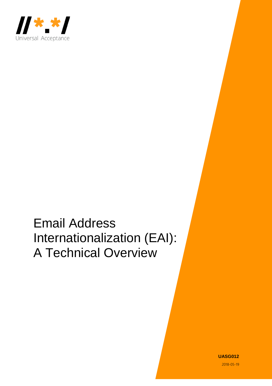

# Email Address Internationalization (EAI): A Technical Overview

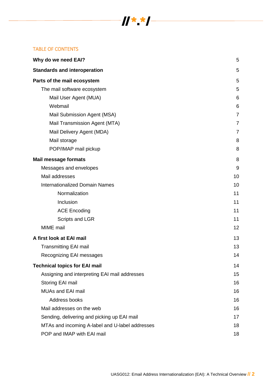# TABLE OF CONTENTS

| Why do we need EAI?                             | 5              |
|-------------------------------------------------|----------------|
| <b>Standards and interoperation</b>             | 5              |
| Parts of the mail ecosystem                     | 5              |
| The mail software ecosystem                     | 5              |
| Mail User Agent (MUA)                           | 6              |
| Webmail                                         | 6              |
| Mail Submission Agent (MSA)                     | 7              |
| Mail Transmission Agent (MTA)                   | $\overline{7}$ |
| Mail Delivery Agent (MDA)                       | 7              |
| Mail storage                                    | 8              |
| POP/IMAP mail pickup                            | 8              |
| <b>Mail message formats</b>                     | 8              |
| Messages and envelopes                          | 9              |
| Mail addresses                                  | 10             |
| <b>Internationalized Domain Names</b>           | 10             |
| Normalization                                   | 11             |
| Inclusion                                       | 11             |
| <b>ACE Encoding</b>                             | 11             |
| Scripts and LGR                                 | 11             |
| MIME mail                                       | 12             |
| A first look at EAI mail                        | 13             |
| <b>Transmitting EAI mail</b>                    | 13             |
| Recognizing EAI messages                        | 14             |
| <b>Technical topics for EAI mail</b>            | 14             |
| Assigning and interpreting EAI mail addresses   | 15             |
| Storing EAI mail                                | 16             |
| <b>MUAs and EAI mail</b>                        | 16             |
| Address books                                   | 16             |
| Mail addresses on the web                       | 16             |
| Sending, delivering and picking up EAI mail     | 17             |
| MTAs and incoming A-label and U-label addresses | 18             |
| POP and IMAP with EAI mail                      | 18             |

 $\frac{1}{2}$   $\frac{1}{2}$   $\frac{1}{2}$   $\frac{1}{2}$   $\frac{1}{2}$   $\frac{1}{2}$   $\frac{1}{2}$   $\frac{1}{2}$   $\frac{1}{2}$   $\frac{1}{2}$   $\frac{1}{2}$   $\frac{1}{2}$   $\frac{1}{2}$   $\frac{1}{2}$   $\frac{1}{2}$   $\frac{1}{2}$   $\frac{1}{2}$   $\frac{1}{2}$   $\frac{1}{2}$   $\frac{1}{2}$   $\frac{1}{2}$   $\frac{1}{2}$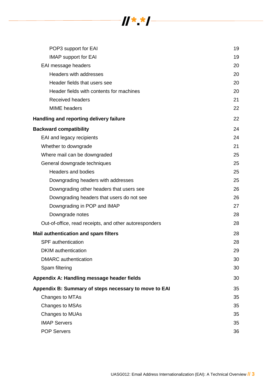

| POP3 support for EAI                                   | 19 |
|--------------------------------------------------------|----|
| <b>IMAP</b> support for EAI                            | 19 |
| EAI message headers                                    | 20 |
| Headers with addresses                                 | 20 |
| Header fields that users see                           | 20 |
| Header fields with contents for machines               | 20 |
| <b>Received headers</b>                                | 21 |
| <b>MIME</b> headers                                    | 22 |
| Handling and reporting delivery failure                | 22 |
| <b>Backward compatibility</b>                          | 24 |
| EAI and legacy recipients                              | 24 |
| Whether to downgrade                                   | 21 |
| Where mail can be downgraded                           | 25 |
| General downgrade techniques                           | 25 |
| <b>Headers and bodies</b>                              | 25 |
| Downgrading headers with addresses                     | 25 |
| Downgrading other headers that users see               | 26 |
| Downgrading headers that users do not see              | 26 |
| Downgrading in POP and IMAP                            | 27 |
| Downgrade notes                                        | 28 |
| Out-of-office, read receipts, and other autoresponders | 28 |
| Mail authentication and spam filters                   | 28 |
| <b>SPF</b> authentication                              | 28 |
| <b>DKIM</b> authentication                             | 29 |
| <b>DMARC</b> authentication                            | 30 |
| Spam filtering                                         | 30 |
| Appendix A: Handling message header fields             | 30 |
| Appendix B: Summary of steps necessary to move to EAI  | 35 |
| Changes to MTAs                                        | 35 |
| Changes to MSAs                                        | 35 |
| Changes to MUAs                                        | 35 |
| <b>IMAP Servers</b>                                    | 35 |
| <b>POP Servers</b>                                     | 36 |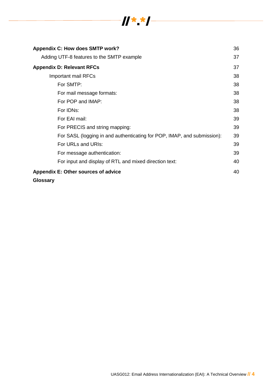

| Appendix C: How does SMTP work?                                         | 36 |
|-------------------------------------------------------------------------|----|
| Adding UTF-8 features to the SMTP example                               | 37 |
| <b>Appendix D: Relevant RFCs</b>                                        | 37 |
| Important mail RFCs                                                     | 38 |
| For SMTP:                                                               | 38 |
| For mail message formats:                                               | 38 |
| For POP and IMAP:                                                       | 38 |
| For IDNs:                                                               | 38 |
| For EAI mail:                                                           | 39 |
| For PRECIS and string mapping:                                          | 39 |
| For SASL (logging in and authenticating for POP, IMAP, and submission): | 39 |
| For URLs and URIs:                                                      | 39 |
| For message authentication:                                             | 39 |
| For input and display of RTL and mixed direction text:                  | 40 |
| Appendix E: Other sources of advice                                     | 40 |
|                                                                         |    |

## **[Glossary](#page-39-2)**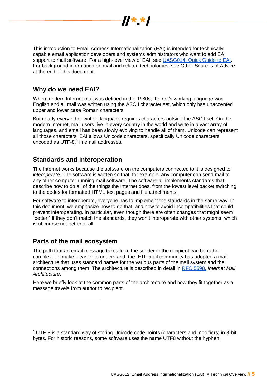

This introduction to Email Address Internationalization (EAI) is intended for technically capable email application developers and systems administrators who want to add EAI support to mail software. For a high-level view of EAI, see [UASG014: Quick Guide to EAI.](https://uasg.tech/wp-content/uploads/2017/09/06b-UASG-Report-UASG014.pdf) For background information on mail and related technologies, see Other Sources of Advice at the end of this document.

# <span id="page-4-0"></span>**Why do we need EAI?**

When modern Internet mail was defined in the 1980s, the net's working language was English and all mail was written using the ASCII character set, which only has unaccented upper and lower case Roman characters.

But nearly every other written language requires characters outside the ASCII set. On the modern Internet, mail users live in every country in the world and write in a vast array of languages, and email has been slowly evolving to handle all of them. Unicode can represent all those characters. EAI allows Unicode characters, specifically Unicode characters encoded as UTF-8, $^1$  in email addresses.

# <span id="page-4-1"></span>**Standards and interoperation**

The Internet works because the software on the computers connected to it is designed to *interoperate*. The software is written so that, for example, any computer can send mail to any other computer running mail software. The software all implements standards that describe how to do all of the things the Internet does, from the lowest level packet switching to the codes for formatted HTML text pages and file attachments.

For software to interoperate, everyone has to implement the standards in the same way. In this document, we emphasize how to do that, and how to avoid incompatibilities that could prevent interoperating. In particular, even though there are often changes that might seem "better," if they don't match the standards, they won't interoperate with other systems, which is of course not better at all.

# <span id="page-4-2"></span>**Parts of the mail ecosystem**

<span id="page-4-3"></span> $\overline{a}$ 

The path that an email message takes from the sender to the recipient can be rather complex. To make it easier to understand, the IETF mail community has adopted a mail architecture that uses standard names for the various parts of the mail system and the connections among them. The architecture is described in detail in [RFC 5598,](https://tools.ietf.org/html/rfc5598) *Internet Mail Architecture*.

Here we briefly look at the common parts of the architecture and how they fit together as a message travels from author to recipient.

<sup>&</sup>lt;sup>1</sup> UTF-8 is a standard way of storing Unicode code points (characters and modifiers) in 8-bit bytes. For historic reasons, some software uses the name UTF8 without the hyphen.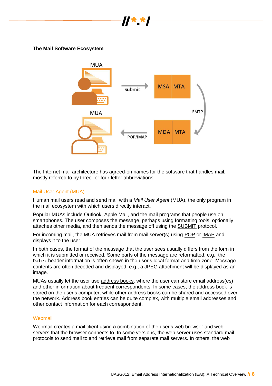

**The Mail Software Ecosystem**



The Internet mail architecture has agreed-on names for the software that handles mail, mostly referred to by three- or four-letter abbreviations.

#### <span id="page-5-0"></span>Mail User Agent (MUA)

Human mail users read and send mail with a *Mail User Agent* (MUA), the only program in the mail ecosystem with which users directly interact.

Popular MUAs include Outlook, Apple Mail, and the mail programs that people use on smartphones. The user composes the message, perhaps using formatting tools, optionally attaches other media, and then sends the message off using the SUBMIT protocol.

For incoming mail, the MUA retrieves mail from mail server(s) using POP or IMAP and displays it to the user.

In both cases, the format of the message that the user sees usually differs from the form in which it is submitted or received. Some parts of the message are reformatted, e.g., the Date: header information is often shown in the user's local format and time zone. Message contents are often decoded and displayed, e.g., a JPEG attachment will be displayed as an image.

MUAs usually let the user use address books, where the user can store email address(es) and other information about frequent correspondents. In some cases, the address book is stored on the user's computer, while other address books can be shared and accessed over the network. Address book entries can be quite complex, with multiple email addresses and other contact information for each correspondent.

#### <span id="page-5-1"></span>Webmail

Webmail creates a mail client using a combination of the user's web browser and web servers that the browser connects to. In some versions, the web server uses standard mail protocols to send mail to and retrieve mail from separate mail servers. In others, the web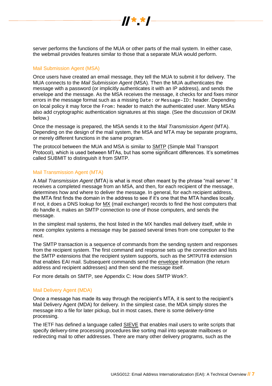

server performs the functions of the MUA or other parts of the mail system. In either case, the webmail provides features similar to those that a separate MUA would perform.

## <span id="page-6-0"></span>Mail Submission Agent (MSA)

Once users have created an email message, they tell the MUA to submit it for delivery. The MUA connects to the *Mail Submission Agent* (MSA)*.* Then the MUA authenticates the message with a password (or implicitly authenticates it with an IP address), and sends the envelope and the message. As the MSA receives the message, it checks for and fixes minor errors in the message format such as a missing Date: or Message-ID: header. Depending on local policy it may force the From: header to match the authenticated user. Many MSAs also add cryptographic authentication signatures at this stage. (See the discussion of DKIM below.)

Once the message is prepared, the MSA sends it to the *Mail Transmission Agent* (MTA). Depending on the design of the mail system, the MSA and MTA may be separate programs, or merely different functions in the same program.

The protocol between the MUA and MSA is similar to SMTP (Simple Mail Transport Protocol), which is used between MTAs, but has some significant differences. It's sometimes called SUBMIT to distinguish it from SMTP.

#### <span id="page-6-1"></span>Mail Transmission Agent (MTA)

A *Mail Transmission Agent* (MTA) is what is most often meant by the phrase "mail server." It receives a completed message from an MSA, and then, for each recipient of the message, determines how and where to deliver the message. In general, for each recipient address, the MTA first finds the domain in the address to see if it's one that the MTA handles locally. If not, it does a DNS lookup for MX (mail exchanger) records to find the host computers that do handle it, makes an SMTP connection to one of those computers, and sends the message.

In the simplest mail systems, the host listed in the MX handles mail delivery itself, while in more complex systems a message may be passed several times from one computer to the next.

The SMTP transaction is a sequence of commands from the sending system and responses from the recipient system. The first command and response sets up the connection and lists the SMTP extensions that the recipient system supports, such as the SMTPUTF8 extension that enables EAI mail. Subsequent commands send the envelope information (the return address and recipient addresses) and then send the message itself.

For more details on SMTP, see Appendix C: [How does SMTP Work?.](#page-35-1)

#### <span id="page-6-2"></span>Mail Delivery Agent (MDA)

Once a message has made its way through the recipient's MTA, it is sent to the recipient's Mail Delivery Agent (MDA) for delivery. In the simplest case, the MDA simply stores the message into a file for later pickup, but in most cases, there is some delivery-time processing.

The IETF has defined a language called **SIEVE** that enables mail users to write scripts that specify delivery-time processing procedures like sorting mail into separate mailboxes or redirecting mail to other addresses. There are many other delivery programs, such as the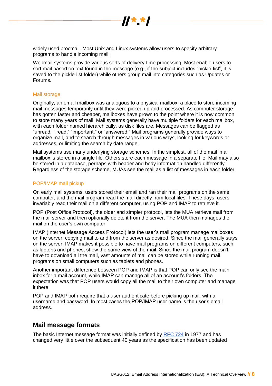

widely used procmail. Most Unix and Linux systems allow users to specify arbitrary programs to handle incoming mail.

Webmail systems provide various sorts of delivery-time processing. Most enable users to sort mail based on text found in the message (e.g., if the subject includes "pickle-list", it is saved to the pickle-list folder) while others group mail into categories such as Updates or Forums.

#### <span id="page-7-0"></span>Mail storage

Originally, an email mailbox was analogous to a physical mailbox, a place to store incoming mail messages temporarily until they were picked up and processed. As computer storage has gotten faster and cheaper, mailboxes have grown to the point where it is now common to store many years of mail. Mail systems generally have multiple folders for each mailbox, with each folder named hierarchically, as disk files are. Messages can be flagged as "unread," "read," "important," or "answered." Mail programs generally provide ways to organize mail, and to search through messages in various ways, looking for keywords or addresses, or limiting the search by date range.

Mail systems use many underlying storage schemes. In the simplest, all of the mail in a mailbox is stored in a single file. Others store each message in a separate file. Mail may also be stored in a database, perhaps with header and body information handled differently. Regardless of the storage scheme, MUAs see the mail as a list of messages in each folder.

## <span id="page-7-1"></span>POP/IMAP mail pickup

On early mail systems, users stored their email and ran their mail programs on the same computer, and the mail program read the mail directly from local files. These days, users invariably read their mail on a different computer, using POP and IMAP to retrieve it.

POP (Post Office Protocol), the older and simpler protocol, lets the MUA retrieve mail from the mail server and then optionally delete it from the server. The MUA then manages the mail on the user's own computer.

IMAP (Internet Message Access Protocol) lets the user's mail program manage mailboxes on the server, copying mail to and from the server as desired. Since the mail generally stays on the server, IMAP makes it possible to have mail programs on different computers, such as laptops and phones, show the same view of the mail. Since the mail program doesn't have to download all the mail, vast amounts of mail can be stored while running mail programs on small computers such as tablets and phones.

Another important difference between POP and IMAP is that POP can only see the main inbox for a mail account, while IMAP can manage all of an account's folders. The expectation was that POP users would copy all the mail to their own computer and manage it there.

POP and IMAP both require that a user authenticate before picking up mail, with a username and password. In most cases the POP/IMAP user name is the user's email address.

# <span id="page-7-2"></span>**Mail message formats**

The basic Internet message format was initially defined by [RFC 724](https://www.rfc-editor.org/rfc/rfc724.txt) in 1977 and has changed very little over the subsequent 40 years as the specification has been updated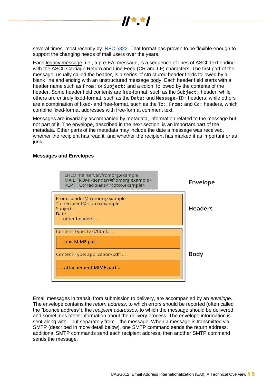

several times, most recently by [RFC 5822.](https://www.ietf.org/rfc/rfc5322.txt) That format has proven to be flexible enough to support the changing needs of mail users over the years.

Each legacy message, i.e., a pre-EAI message, is a sequence of lines of ASCII text ending with the ASCII Carriage Return and Line Feed (CR and LF) characters. The first part of the message, usually called the header, is a series of structured header fields followed by a blank line and ending with an unstructured message body. Each header field starts with a header name such as From: or Subject: and a colon, followed by the contents of the header. Some header field contents are free-format, such as the Subject: header, while others are entirely fixed-format, such as the Date: and Message-ID: headers, while others are a combination of fixed- and free-format, such as the To:, From: and Cc: headers, which combine fixed-format addresses with free-format comment text.

Messages are invariably accompanied by metadata, information related to the message but not part of it. The envelope, described in the next section, is an important part of the metadata. Other parts of the metadata may include the date a message was received, whether the recipient has read it, and whether the recipient has marked it as important or as junk.

#### <span id="page-8-0"></span>**Messages and Envelopes**



Email messages in transit, from submission to delivery, are accompanied by an *envelope*. The envelope contains the *return address*, to which errors should be reported (often called the "bounce address"), the *recipient addresses*, to which the message should be delivered, and sometimes other information about the delivery process. The envelope information is sent along with—but separately from—the message. When a message is transmitted via SMTP (described in more detail below), one SMTP command sends the return address, additional SMTP commands send each recipient address, then another SMTP command sends the message.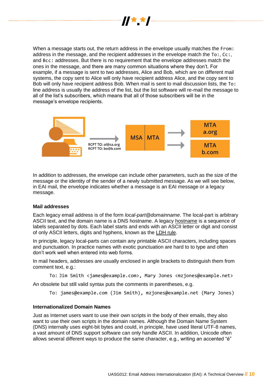

When a message starts out, the return address in the envelope usually matches the From: address in the message, and the recipient addresses in the envelope match the To:, Cc:, and Bcc: addresses. But there is no requirement that the envelope addresses match the ones in the message, and there are many common situations where they don't. For example, if a message is sent to two addresses, Alice and Bob, which are on different mail systems, the copy sent to Alice will only have recipient address Alice, and the copy sent to Bob will only have recipient address Bob. When mail is sent to mail discussion lists, the To: line address is usually the address of the list, but the list software will re-mail the message to all of the list's subscribers, which means that all of those subscribers will be in the message's envelope recipients.



In addition to addresses, the envelope can include other parameters, such as the size of the message or the identity of the sender of a newly submitted message. As we will see below, in EAI mail, the envelope indicates whether a message is an EAI message or a legacy message.

#### <span id="page-9-0"></span>**Mail addresses**

Each legacy email address is of the form *local-part@domainname*. The local-part is arbitrary ASCII text, and the domain name is a DNS hostname. A legacy hostname is a sequence of labels separated by dots. Each label starts and ends with an ASCII letter or digit and consist of only ASCII letters, digits and hyphens, known as the LDH rule.

In principle, legacy local-parts can contain any printable ASCII characters, including spaces and punctuation. In practice names with exotic punctuation are hard to to type and often don't work well when entered into web forms.

In mail headers, addresses are usually enclosed in angle brackets to distinguish them from comment text, e.g.:

To: Jim Smith <james@example.com>, Mary Jones <mzjones@example.net>

An obsolete but still valid syntax puts the comments in parentheses, e.g.

To: james@example.com (Jim Smith), mzjones@example.net (Mary Jones)

#### <span id="page-9-1"></span>**Internationalized Domain Names**

Just as Internet users want to use their own scripts in the body of their emails, they also want to use their own scripts in the domain names. Although the Domain Name System (DNS) internally uses eight-bit bytes and could, in principle, have used literal UTF-8 names, a vast amount of DNS support software can only handle ASCII. In addition, Unicode often allows several different ways to produce the same character, e.g., writing an accented "é"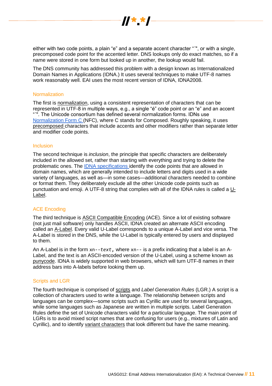

either with two code points, a plain "e" and a separate accent character "´", or with a single, precomposed code point for the accented letter. DNS lookups only do exact matches, so if a name were stored in one form but looked up in another, the lookup would fail.

The DNS community has addressed this problem with a design known as Internationalized Domain Names in Applications (IDNA.) It uses several techniques to make UTF-8 names work reasonably well. EAI uses the most recent version of IDNA, IDNA2008.

#### <span id="page-10-0"></span>**Normalization**

The first is normalization, using a consistent representation of characters that can be represented in UTF-8 in multiple ways, e.g., a single "é" code point or an "e" and an accent "<sup>"</sup>. The Unicode consortium has defined several normalization forms. IDNs use [Normalization Form C \(](http://unicode.org/reports/tr15/)NFC), where C stands for Composed. Roughly speaking, it uses precomposed characters that include accents and other modifiers rather than separate letter and modifier code points.

#### <span id="page-10-1"></span>Inclusion

The second technique is *inclusion*, the principle that specific characters are deliberately included in the allowed set, rather than starting with everything and trying to delete the problematic ones. The [IDNA specifications id](https://tools.ietf.org/html/rfc5892)entify the code points that are allowed in domain names, which are generally intended to include letters and digits used in a wide variety of languages, as well as—in some cases—additional characters needed to combine or format them. They deliberately exclude all the other Unicode code points such as punctuation and emoji. A UTF-8 string that complies with all of the IDNA rules is called a U-Label.

#### <span id="page-10-2"></span>ACE Encoding

The third technique is ASCII Compatible Encoding (ACE). Since a lot of existing software (not just mail software) only handles ASCII, IDNA created an alternate ASCII encoding called an A-Label. Every valid U-Label corresponds to a unique A-Label and vice versa. The A-Label is stored in the DNS, while the U-Label is typically entered by users and displayed to them.

An A-Label is in the form xn--*text*, where xn-- is a prefix indicating that a label is an A-Label, and the text is an ASCII-encoded version of the U-Label, using a scheme known as punycode. IDNA is widely supported in web browsers, which will turn UTF-8 names in their address bars into A-labels before looking them up.

#### <span id="page-10-3"></span>Scripts and LGR

The fourth technique is comprised of scripts and *Label Generation Rules* (LGR.) A script is a collection of characters used to write a language. The relationship between scripts and languages can be complex—some scripts such as Cyrillic are used for several languages, while some languages such as Japanese are written in multiple scripts. Label Generation Rules define the set of Unicode characters valid for a particular language. The main point of LGRs is to avoid mixed script names that are confusing for users (e.g., mixtures of Latin and Cyrillic), and to identify variant characters that look different but have the same meaning.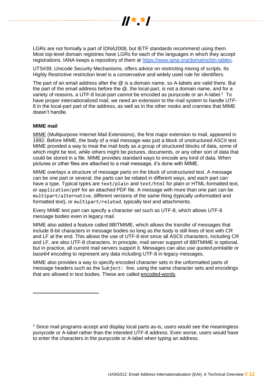

LGRs are not formally a part of IDNA2008, but IETF standards recommend using them. Most top-level domain registries have LGRs for each of the languages in which they accept registrations. IANA keeps a repository of them at [https://www.iana.org/domains/idn-tables.](https://www.iana.org/domains/idn-tables)

UTS#39, Unicode Security Mechanisms, offers advice on restricting mixing of scripts. Its Highly Restrictive restriction level is a conservative and widely used rule for identifiers.

The part of an email address after the @ is a domain name, so A-labels are valid there. But the part of the email address before the @, the local-part, is not a domain name, and for a variety of reasons, a UTF-8 local-part cannot be encoded as punycode or an A-label.<sup>2</sup> To have proper internationalized mail, we need an extension to the mail system to handle UTF-8 in the local-part part of the address, as well as in the other nooks and crannies that MIME doesn't handle.

#### <span id="page-11-0"></span>**MIME mail**

 $\overline{a}$ 

MIME (Multipurpose Internet Mail Extensions), the first major extension to mail, appeared in 1992. Before MIME, the body of a mail message was just a block of unstructured ASCII text. MIME provided a way to treat the mail body as a group of structured blocks of data, some of which might be text, while others might be pictures, documents, or any other sort of data that could be stored in a file. MIME provides standard ways to encode any kind of data. When pictures or other files are attached to a mail message, it's done with MIME.

MIME overlays a structure of message parts on the block of unstructured text. A message can be one part or several, the parts can be related in different ways, and each part can have a type. Typical types are text/plain and text/html for plain or HTML-formatted text, or application/pdf for an attached PDF file. A message with more than one part can be multipart/alternative, different versions of the same thing (typically unformatted and formatted text), or multipart/related, typically text and attachments.

Every MIME text part can specify a character set such as UTF-8, which allows UTF-8 message bodies even in legacy mail.

MIME also added a feature called 8BITMIME, which allows the transfer of messages that include 8-bit characters in message bodies so long as the body is still lines of text with CR and LF at the end. This allows the use of UTF-8 text since all ASCII characters, including CR and LF, are also UTF-8 characters. In principle, mail server support of 8BITMIME is optional, but in practice, all current mail servers support it. Messages can also use *quoted-printable* or *base64* encoding to represent any data including UTF-8 in legacy messages.

MIME also provides a way to specify encoded character sets in the unformatted parts of message headers such as the Subject: line, using the same character sets and encodings that are allowed in text bodies. These are called encoded-words.

<sup>&</sup>lt;sup>2</sup> Since mail programs accept and display local parts as-is, users would see the meaningless punycode or A-label rather than the intended UTF-8 address. Even worse, users would have to enter the characters in the punycode or A-label when typing an address.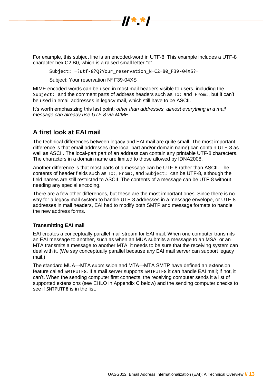

For example, this subject line is an encoded-word in UTF-8. This example includes a UTF-8 character hex C2 B0, which is a raised small letter "o".

Subject: =?utf-8?Q?Your\_reservation\_N=C2=B0\_F39-04XS?=

Subject: Your reservation Nº F39-04XS

MIME encoded-words can be used in most mail headers visible to users, including the Subject: and the comment parts of address headers such as To: and From:, but it can't be used in email addresses in legacy mail, which still have to be ASCII.

It's worth emphasizing this last point: *other than addresses, almost everything in a mail message can already use UTF-8 via MIME*.

# <span id="page-12-0"></span>**A first look at EAI mail**

The technical differences between legacy and EAI mail are quite small. The most important difference is that email addresses (the local-part and/or domain name) can contain UTF-8 as well as ASCII. The local-part part of an address can contain any printable UTF-8 characters. The characters in a domain name are limited to those allowed by IDNA2008.

Another difference is that most parts of a message can be UTF-8 rather than ASCII. The contents of header fields such as To:, From:, and Subject: can be UTF-8, although the field names are still restricted to ASCII. The contents of a message can be UTF-8 without needing any special encoding.

There are a few other differences, but these are the most important ones. Since there is no way for a legacy mail system to handle UTF-8 addresses in a message envelope, or UTF-8 addresses in mail headers, EAI had to modify both SMTP and message formats to handle the new address forms.

## <span id="page-12-1"></span>**Transmitting EAI mail**

EAI creates a conceptually parallel mail stream for EAI mail. When one computer transmits an EAI message to another, such as when an MUA submits a message to an MSA, or an MTA transmits a message to another MTA, it needs to be sure that the receiving system can deal with it. (We say conceptually parallel because any EAI mail server can support legacy mail.)

The standard MUA→MTA submission and MTA→MTA SMTP have defined an extension feature called SMTPUTF8. If a mail server supports SMTPUTF8 it can handle EAI mail; if not, it can't. When the sending computer first connects, the receiving computer sends it a list of supported extensions (see EHLO in Appendix C below) and the sending computer checks to see if SMTPUTF8 is in the list.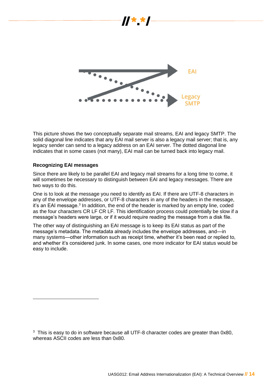

This picture shows the two conceptually separate mail streams, EAI and legacy SMTP. The solid diagonal line indicates that any EAI mail server is also a legacy mail server; that is, any legacy sender can send to a legacy address on an EAI server. The dotted diagonal line indicates that in some cases (not many), EAI mail can be turned back into legacy mail.

#### <span id="page-13-0"></span>**Recognizing EAI messages**

 $\overline{a}$ 

Since there are likely to be parallel EAI and legacy mail streams for a long time to come, it will sometimes be necessary to distinguish between EAI and legacy messages. There are two ways to do this.

One is to look at the message you need to identify as EAI. If there are UTF-8 characters in any of the envelope addresses, or UTF-8 characters in any of the headers in the message, it's an EAI message.<sup>3</sup> In addition, the end of the header is marked by an empty line, coded as the four characters CR LF CR LF. This identification process could potentially be slow if a message's headers were large, or if it would require reading the message from a disk file.

<span id="page-13-1"></span>The other way of distinguishing an EAI message is to keep its EAI status as part of the message's metadata. The metadata already includes the envelope addresses, and—in many systems—other information such as receipt time, whether it's been read or replied to, and whether it's considered junk. In some cases, one more indicator for EAI status would be easy to include.

<sup>&</sup>lt;sup>3</sup> This is easy to do in software because all UTF-8 character codes are greater than 0x80, whereas ASCII codes are less than 0x80.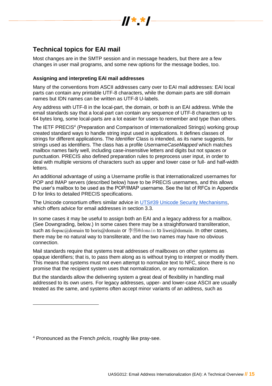

# **Technical topics for EAI mail**

Most changes are in the SMTP session and in message headers, but there are a few changes in user mail programs, and some new options for the message bodies, too.

## <span id="page-14-0"></span>**Assigning and interpreting EAI mail addresses**

Many of the conventions from ASCII addresses carry over to EAI mail addresses: EAI local parts can contain any printable UTF-8 characters, while the domain parts are still domain names but IDN names can be written as UTF-8 U-labels.

Any address with UTF-8 in the local-part, the domain, or both is an EAI address. While the email standards say that a local-part can contain any sequence of UTF-8 characters up to 64 bytes long, some local-parts are a lot easier for users to remember and type than others.

The IETF PRECIS<sup>4</sup> (Preparation and Comparison of Internationalized Strings) working group created standard ways to handle string input used in applications. It defines classes of strings for different applications. The *Identifier* Class is intended, as its name suggests, for strings used as identifiers. The class has a profile *UsernameCaseMapped* which matches mailbox names fairly well, including case-insensitive letters and digits but not spaces or punctuation. PRECIS also defined preparation rules to preprocess user input, in order to deal with multiple versions of characters such as upper and lower case or full- and half-width letters.

An additional advantage of using a Username profile is that internationalized usernames for POP and IMAP servers (described below) have to be PRECIS usernames, and this allows the user's mailbox to be used as the POP/IMAP username. See the list of RFCs in Appendix D for links to detailed PRECIS specifications.

The Unicode consortium offers similar advice in [UTS#39 Unicode Security Mechanisms,](http://unicode.org/reports/tr39/) which offers advice for email addresses in section 3.3.

In some cases it may be useful to assign both an EAI and a legacy address for a mailbox. (See Downgrading, below.) In some cases there may be a straightforward transliteration, such as  $60px@domain$  to boris@domain or  $\ddot{\mathcal{F}}$  ffiguational to liwei@domain. In other cases, there may be no natural way to transliterate, and the two names may have no obvious connection.

Mail standards require that systems treat addresses of mailboxes on other systems as opaque identifiers; that is, to pass them along as is without trying to interpret or modify them. This means that systems must not even attempt to normalize text to NFC, since there is no promise that the recipient system uses that normalization, or any normalization.

But the standards allow the delivering system a great deal of flexibility in handling mail addressed to its own users. For legacy addresses, upper- and lower-case ASCII are usually treated as the same, and systems often accept minor variants of an address, such as

<sup>4</sup> Pronounced as the French *précis*, roughly like pray-see.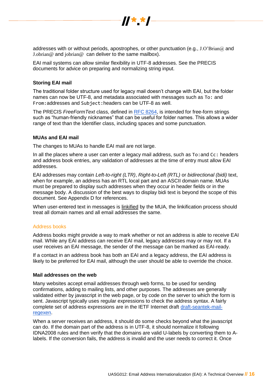

 $\boldsymbol{y}$   $\boldsymbol{x}$ 

EAI mail systems can allow similar flexibility in UTF-8 addresses. See the PRECIS documents for advice on preparing and normalizing string input.

#### <span id="page-15-0"></span>**Storing EAI mail**

The traditional folder structure used for legacy mail doesn't change with EAI, but the folder names can now be UTF-8, and metadata associated with messages such as To: and From:addresses and Subject:headers can be UTF-8 as well.

The PRECIS *FreeFormText* class, defined in [RFC 8264,](http://www.rfc-editor.org/info/rfc8264) is intended for free-form strings such as "human-friendly nicknames" that can be useful for folder names. This allows a wider range of text than the Identifier class, including spaces and some punctuation.

#### <span id="page-15-1"></span>**MUAs and EAI mail**

The changes to MUAs to handle EAI mail are not large.

In all the places where a user can enter a legacy mail address, such as To:and Cc: headers and address book entries, any validation of addresses at the time of entry must allow EAI addresses.

EAI addresses may contain *Left-to-right (LTR)*, *Right-to-Left (RTL)* or *bidirectional (bidi)* text, when for example, an address has an RTL local part and an ASCII domain name. MUAs must be prepared to display such addresses when they occur in header fields or in the message body. A discussion of the best ways to display bidi text is beyond the scope of this document. See Appendix D for references.

When user-entered text in messages is linkified by the MUA, the linkification process should treat all domain names and all email addresses the same.

#### <span id="page-15-2"></span>Address books

Address books might provide a way to mark whether or not an address is able to receive EAI mail. While any EAI address can receive EAI mail, legacy addresses may or may not. If a user receives an EAI message, the sender of the message can be marked as EAI-ready.

If a contact in an address book has both an EAI and a legacy address, the EAI address is likely to be preferred for EAI mail, although the user should be able to override the choice.

#### <span id="page-15-3"></span>**Mail addresses on the web**

Many websites accept email addresses through web forms, to be used for sending confirmations, adding to mailing lists, and other purposes. The addresses are generally validated either by javascript in the web page, or by code on the server to which the form is sent. Javascript typically uses regular expressions to check the address syntax. A fairly complete set of address expressions are in the IETF Internet draft [draft-seantek-mail](https://www.ietf.org/archive/id/draft-seantek-mail-regexen-02.txt)[regexen.](https://www.ietf.org/archive/id/draft-seantek-mail-regexen-02.txt)

When a server receives an address, it should do some checks beyond what the javascript can do. If the domain part of the address is in UTF-8, it should normalize it following IDNA2008 rules and then verify that the domains are valid U-labels by converting them to Alabels. If the conversion fails, the address is invalid and the user needs to correct it. Once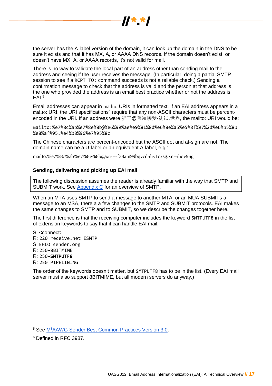

the server has the A-label version of the domain, it can look up the domain in the DNS to be sure it exists and that it has MX, A, or AAAA DNS records. If the domain doesn't exist, or doesn't have MX, A, or AAAA records, it's not valid for mail.

There is no way to validate the local part of an address other than sending mail to the address and seeing if the user receives the message. (In particular, doing a partial SMTP session to see if a RCPT TO: command succeeds is not a reliable check.) Sending a confirmation message to check that the address is valid and the person at that address is the one who provided the address is an email best practice whether or not the address is EAI.<sup>5</sup>

Email addresses can appear in mailto: URIs in formatted text. If an EAI address appears in a mailto: URI, the URI specifications<sup>6</sup> require that any non-ASCII characters must be percentencoded in the URI. If an address were 猫王@普遍接受-测试.世界, the mailto: URI would be:

mailto:%e7%8c%ab%e7%8e%8b@%e6%99%ae%e9%81%8d%e6%8e%a5%e5%8f%97%2d%e6%b5%8b %e8%af%95.%e4%b8%96%e7%95%8c

The Chinese characters are percent-encoded but the ASCII dot and at-sign are not. The domain name can be a U-label or an equivalent A-label, e.g.:

mailto:%e7%8c%ab%e7%8e%8b@xn----f38am99bqvcd5liy1cxsg.xn--rhqv96g

## <span id="page-16-0"></span>**Sending, delivering and picking up EAI mail**

The following discussion assumes the reader is already familiar with the way that SMTP and SUBMIT work. See [Appendix C](#page-35-1) for an overview of SMTP.

When an MTA uses SMTP to send a message to another MTA, or an MUA SUBMITs a message to an MSA, there a a few changes to the SMTP and SUBMIT protocols. EAI makes the same changes to SMTP and to SUBMIT, so we describe the changes together here.

The first difference is that the receiving computer includes the keyword SMTPUTF8 in the list of extension keywords to say that it can handle EAI mail:

S: <connect> R: 220 receive.net ESMTP S: EHLO sender.org R: 250-8BITMIME R: 250-**SMTPUTF8** R: 250 PIPELINING

The order of the keywords doesn't matter, but SMTPUTF8 has to be in the list. (Every EAI mail server must also support 8BITMIME, but all modern servers do anyway.)

 $\overline{a}$ 

<sup>5</sup> See [M](https://www.m3aawg.org/sites/default/files/document/M3AAWG_Senders_BCP_Ver3-2015-02.pdf)<sup>3</sup>[AAWG Sender Best Common Practices Version 3.0.](https://www.m3aawg.org/sites/default/files/document/M3AAWG_Senders_BCP_Ver3-2015-02.pdf)

<sup>6</sup> Defined in RFC 3987.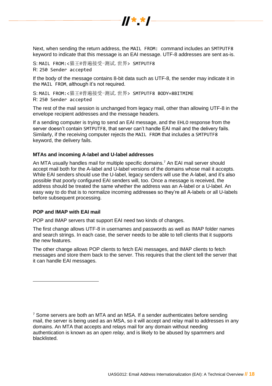

Next, when sending the return address, the MAIL FROM: command includes an SMTPUTF8 keyword to indicate that this message is an EAI message. UTF-8 addresses are sent as-is.

S: MAIL FROM:<猫王@普遍接受-测试.世界> SMTPUTF8 R: 250 Sender accepted

If the body of the message contains 8-bit data such as UTF-8, the sender may indicate it in the MAIL FROM, although it's not required.

S: MAIL FROM:<猫王@普遍接受-测试.世界> SMTPUTF8 BODY=8BITMIME R: 250 Sender accepted

The rest of the mail session is unchanged from legacy mail, other than allowing UTF-8 in the envelope recipient addresses and the message headers.

If a sending computer is trying to send an EAI message, and the EHLO response from the server doesn't contain SMTPUTF8, that server can't handle EAI mail and the delivery fails. Similarly, if the receiving computer rejects the MAIL FROM that includes a SMTPUTF8 keyword, the delivery fails.

#### <span id="page-17-0"></span>**MTAs and incoming A-label and U-label addresses**

An MTA usually handles mail for multiple specific domains.<sup>7</sup> An EAI mail server should accept mail both for the A-label and U-label versions of the domains whose mail it accepts. While EAI senders should use the U-label, legacy senders will use the A-label, and it's also possible that poorly configured EAI senders will, too. Once a message is received, the address should be treated the same whether the address was an A-label or a U-label. An easy way to do that is to normalize incoming addresses so they're all A-labels or all U-labels before subsequent processing.

#### <span id="page-17-1"></span>**POP and IMAP with EAI mail**

 $\overline{a}$ 

POP and IMAP servers that support EAI need two kinds of changes.

The first change allows UTF-8 in usernames and passwords as well as IMAP folder names and search strings. In each case, the server needs to be able to tell clients that it supports the new features.

The other change allows POP clients to fetch EAI messages, and IMAP clients to fetch messages and store them back to the server. This requires that the client tell the server that it can handle EAI messages.

 $7$  Some servers are both an MTA and an MSA. If a sender authenticates before sending mail, the server is being used as an MSA, so it will accept and relay mail to addresses in any domains. An MTA that accepts and relays mail for any domain without needing authentication is known as an *open relay,* and is likely to be abused by spammers and blacklisted.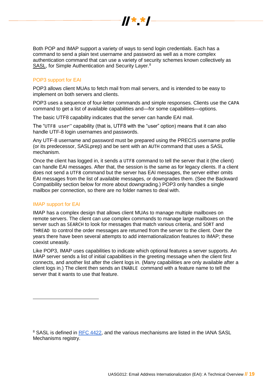

Both POP and IMAP support a variety of ways to send login credentials. Each has a command to send a plain text username and password as well as a more complex authentication command that can use a variety of security schemes known collectively as SASL, for Simple Authentication and Security Layer.<sup>8</sup>

# <span id="page-18-0"></span>POP3 support for EAI

POP3 allows client MUAs to fetch mail from mail servers, and is intended to be easy to implement on both servers and clients.

POP3 uses a sequence of four-letter commands and simple responses. Clients use the CAPA command to get a list of available capabilities and—for some capabilities—options.

The basic UTF8 capability indicates that the server can handle EAI mail.

The "UTF8 user" capability (that is, UTF8 with the "user" option) means that it can also handle UTF-8 login usernames and passwords.

Any UTF-8 username and password must be prepared using the PRECIS username profile (or its predecessor, SASLprep) and be sent with an AUTH command that uses a SASL mechanism.

Once the client has logged in, it sends a UTF8 command to tell the server that it (the client) can handle EAI messages. After that, the session is the same as for legacy clients. If a client does not send a UTF8 command but the server has EAI messages, the server either omits EAI messages from the list of available messages, or downgrades them. (See the Backward Compatibility section below for more about downgrading.) POP3 only handles a single mailbox per connection, so there are no folder names to deal with.

## <span id="page-18-1"></span>IMAP support for EAI

 $\overline{a}$ 

IMAP has a complex design that allows client MUAs to manage multiple mailboxes on remote servers. The client can use complex commands to manage large mailboxes on the server such as SEARCH to look for messages that match various criteria, and SORT and THREAD to control the order messages are returned from the server to the client. Over the years there have been several attempts to add internationalization features to IMAP; these coexist uneasily.

Like POP3, IMAP uses capabilities to indicate which optional features a server supports. An IMAP server sends a list of initial capabilities in the greeting message when the client first connects, and another list after the client logs in. (Many capabilities are only available after a client logs in.) The client then sends an ENABLE command with a feature name to tell the server that it wants to use that feature.

<sup>&</sup>lt;sup>8</sup> SASL is defined in **RFC 4422**, and the various mechanisms are listed in the IANA SASL Mechanisms registry.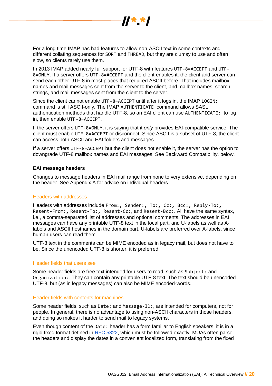

For a long time IMAP has had features to allow non-ASCII text in some contexts and different collating sequences for SORT and THREAD, but they are clumsy to use and often slow, so clients rarely use them.

In 2013 IMAP added nearly full support for UTF-8 with features UTF-8=ACCEPT and UTF-8=ONLY. If a server offers UTF-8=ACCEPT and the client enables it, the client and server can send each other UTF-8 in most places that required ASCII before. That includes mailbox names and mail messages sent from the server to the client, and mailbox names, search strings, and mail messages sent from the client to the server.

Since the client cannot enable UTF-8=ACCEPT until after it logs in, the IMAP LOGIN: command is still ASCII-only. The IMAP AUTHENTICATE command allows SASL authentication methods that handle UTF-8, so an EAI client can use AUTHENTICATE: to log in, then enable UTF-8=ACCEPT.

If the server offers UTF-8=ONLY, it is saying that it *only* provides EAI-compatible service. The client must enable UTF-8=ACCEPT or disconnect. Since ASCII is a subset of UTF-8, the client can access both ASCII and EAI folders and messages.

If a server offers UTF-8=ACCEPT but the client does not enable it, the server has the option to downgrade UTF-8 mailbox names and EAI messages. See Backward Compatibility, below.

#### <span id="page-19-0"></span>**EAI message headers**

Changes to message headers in EAI mail range from none to very extensive, depending on the header. See Appendix A for advice on individual headers.

#### <span id="page-19-1"></span>Headers with addresses

Headers with addresses include From:, Sender:, To:, Cc:, Bcc:, Reply-To:, Resent-From:, Resent-To:, Resent-Cc:, and Resent-Bcc:. All have the same syntax, i.e., a comma-separated list of addresses and optional comments. The addresses in EAI messages can have any printable UTF-8 text in the local part, and U-labels as well as Alabels and ASCII hostnames in the domain part. U-labels are preferred over A-labels, since human users can read them.

UTF-8 text in the comments can be MIME encoded as in legacy mail, but does not have to be. Since the unencoded UTF-8 is shorter, it is preferred.

#### <span id="page-19-2"></span>Header fields that users see

Some header fields are free text intended for users to read, such as Subject: and Organization:. They can contain any printable UTF-8 text. The text should be unencoded UTF-8, but (as in legacy messages) can also be MIME encoded-words.

#### <span id="page-19-3"></span>Header fields with contents for machines

Some header fields, such as Date: and Message-ID:, are intended for computers, not for people. In general, there is no advantage to using non-ASCII characters in those headers, and doing so makes it harder to send mail to legacy systems.

Even though content of the Date: header has a form familiar to English speakers, it is in a rigid fixed format defined in [RFC 5322,](https://www.ietf.org/rfc/rfc5322.txt) which must be followed exactly. MUAs often parse the headers and display the dates in a convenient localized form, translating from the fixed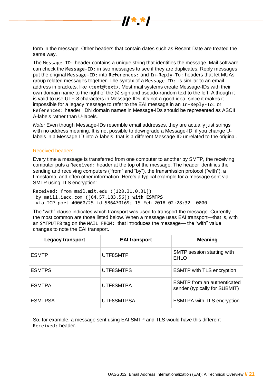

form in the message. Other headers that contain dates such as Resent-Date are treated the same way.

The Message-ID: header contains a unique string that identifies the message. Mail software can check the Message-ID: in two messages to see if they are duplicates. Reply messages put the original Message-ID: into References: and In-Reply-To: headers that let MUAs group related messages together. The syntax of a Message-ID: is similar to an email address in brackets, like <text@text>. Most mail systems create Message-IDs with their own domain name to the right of the @ sign and pseudo-random text to the left. Although it is valid to use UTF-8 characters in Message-IDs, it's not a good idea, since it makes it impossible for a legacy message to refer to the EAI message in an In-Reply-To: or References: header. IDN domain names in Message-IDs should be represented as ASCII A-labels rather than U-labels.

*Note:* Even though Message-IDs resemble email addresses, they are actually just strings with no address meaning. It is not possible to downgrade a Message-ID; if you change Ulabels in a Message-ID into A-labels, that is a different Message-ID unrelated to the original.

#### <span id="page-20-0"></span>Received headers

Every time a message is transferred from one computer to another by SMTP, the receiving computer puts a Received: header at the top of the message. The header identifies the sending and receiving computers ("from" and "by"), the transmission protocol ("with"), a timestamp, and often other information. Here's a typical example for a message sent via SMTP using TLS encryption:

Received: from mail.mit.edu ([128.31.0.31]) by mail1.iecc.com ([64.57.183.56]) **with ESMTPS** via TCP port 40060/25 id 586470169; 15 Feb 2018 02:28:32 -0000

The "with" clause indicates which transport was used to transport the message. Currently the most common are those listed below. When a message uses EAI transport—that is, with an SMTPUTF8 tag on the MAIL FROM: that introduces the message— the "with" value changes to note the EAI transport.

| <b>Legacy transport</b> | <b>EAI transport</b> | <b>Meaning</b>                                                      |
|-------------------------|----------------------|---------------------------------------------------------------------|
| <b>ESMTP</b>            | UTF8SMTP             | SMTP session starting with<br>EHLO                                  |
| <b>ESMTPS</b>           | UTF8SMTPS            | <b>ESMTP with TLS encryption</b>                                    |
| <b>ESMTPA</b>           | UTF8SMTPA            | <b>ESMTP</b> from an authenticated<br>sender (typically for SUBMIT) |
| <b>ESMTPSA</b>          | UTF8SMTPSA           | <b>ESMTPA with TLS encryption</b>                                   |

So, for example, a message sent using EAI SMTP and TLS would have this different Received: header.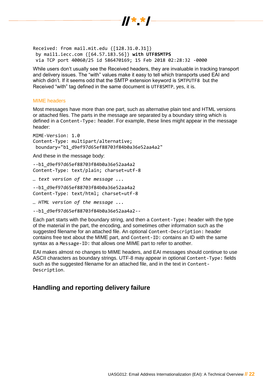

Received: from mail.mit.edu ([128.31.0.31]) by mail1.iecc.com ([64.57.183.56]) **with UTF8SMTPS** via TCP port 40060/25 id 586470169; 15 Feb 2018 02:28:32 -0000

While users don't usually see the Received headers, they are invaluable in tracking transport and delivery issues. The "with" values make it easy to tell which transports used EAI and which didn't. If it seems odd that the SMTP extension keyword is SMTPUTF8 but the Received "with" tag defined in the same document is UTF8SMTP, yes, it is.

#### <span id="page-21-0"></span>MIME headers

Most messages have more than one part, such as alternative plain text and HTML versions or attached files. The parts in the message are separated by a boundary string which is defined in a Content-Type: header. For example, these lines might appear in the message header:

MIME-Version: 1.0 Content-Type: multipart/alternative; boundary="b1\_d9ef97d65ef88703f84b0a36e52aa4a2"

And these in the message body:

--b1\_d9ef97d65ef88703f84b0a36e52aa4a2 Content-Type: text/plain; charset=utf-8

*… text version of the message ...*

--b1\_d9ef97d65ef88703f84b0a36e52aa4a2 Content-Type: text/html; charset=utf-8

*… HTML version of the message ...*

--b1\_d9ef97d65ef88703f84b0a36e52aa4a2--

Each part starts with the boundary string, and then a Content-Type: header with the type of the material in the part, the encoding, and sometimes other information such as the suggested filename for an attached file. An optional Content-Description: header contains free text about the MIME part, and Content-ID: contains an ID with the same syntax as a Message-ID: that allows one MIME part to refer to another.

EAI makes almost no changes to MIME headers, and EAI messages should continue to use ASCII characters as boundary strings. UTF-8 may appear in optional Content-Type: fields such as the suggested filename for an attached file, and in the text in Content-Description.

# <span id="page-21-1"></span>**Handling and reporting delivery failure**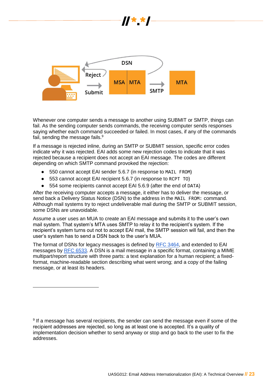

Whenever one computer sends a message to another using SUBMIT or SMTP, things can fail. As the sending computer sends commands, the receiving computer sends responses saying whether each command succeeded or failed. In most cases, if any of the commands fail, sending the message fails.<sup>9</sup>

If a message is rejected inline, during an SMTP or SUBMIT session, specific error codes indicate why it was rejected. EAI adds some new rejection codes to indicate that it was rejected because a recipient does not accept an EAI message. The codes are different depending on which SMTP command provoked the rejection:

- 550 cannot accept EAI sender 5.6.7 (in response to MAIL FROM)
- 553 cannot accept EAI recipient 5.6.7 (in response to RCPT TO)

● 554 some recipients cannot accept EAI 5.6.9 (after the end of DATA)

After the receiving computer accepts a message, it either has to deliver the message, or send back a Delivery Status Notice (DSN) to the address in the MAIL FROM: command. Although mail systems try to reject undeliverable mail during the SMTP or SUBMIT session, some DSNs are unavoidable.

Assume a user uses an MUA to create an EAI message and submits it to the user's own mail system. That system's MTA uses SMTP to relay it to the recipient's system. If the recipient's system turns out not to accept EAI mail, the SMTP session will fail, and then the user's system has to send a DSN back to the user's MUA.

The format of DSNs for legacy messages is defined by [RFC 3464,](https://tools.ietf.org/html/rfc3464) and extended to EAI messages by [RFC 6533.](https://tools.ietf.org/html/rfc6533) A DSN is a mail message in a specific format, containing a MIME multipart/report structure with three parts: a text explanation for a human recipient; a fixedformat, machine-readable section describing what went wrong; and a copy of the failing message, or at least its headers.

<sup>&</sup>lt;sup>9</sup> If a message has several recipients, the sender can send the message even if some of the recipient addresses are rejected, so long as at least one is accepted. It's a quality of implementation decision whether to send anyway or stop and go back to the user to fix the addresses.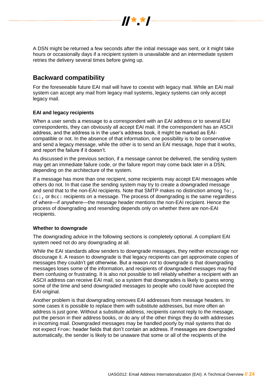

A DSN might be returned a few seconds after the initial message was sent, or it might take hours or occasionally days if a recipient system is unavailable and an intermediate system retries the delivery several times before giving up.

# <span id="page-23-0"></span>**Backward compatibility**

For the foreseeable future EAI mail will have to coexist with legacy mail. While an EAI mail system can accept any mail from legacy mail systems, legacy systems can only accept legacy mail.

# <span id="page-23-1"></span>**EAI and legacy recipients**

When a user sends a message to a correspondent with an EAI address or to several EAI correspondents, they can obviously all accept EAI mail. If the correspondent has an ASCII address, and the address is in the user's address book, it might be marked as EAIcompatible or not. In the absence of that information, one possibility is to be conservative and send a legacy message, while the other is to send an EAI message, hope that it works, and report the failure if it doesn't.

As discussed in the previous section, if a message cannot be delivered, the sending system may get an immediate failure code, or the failure report may come back later in a DSN, depending on the architecture of the system.

If a message has more than one recipient, some recipients may accept EAI messages while others do not. In that case the sending system may try to create a downgraded message and send that to the non-EAI recipients. Note that SMTP makes no distinction among To:, Cc:, or Bcc: recipients on a message. The process of downgrading is the same regardless of where—if anywhere—the message header mentions the non-EAI recipient. Hence the process of downgrading and resending depends only on whether there are non-EAI recipients.

## **Whether to downgrade**

The downgrading advice in the following sections is completely optional. A compliant EAI system need not do any downgrading at all.

While the EAI standards allow senders to downgrade messages, they neither encourage nor discourage it. A reason to downgrade is that legacy recipients can get approximate copies of messages they couldn't get otherwise. But a reason *not* to downgrade is that downgrading messages loses some of the information, and recipients of downgraded messages may find them confusing or frustrating. It is also not possible to tell reliably whether a recipient with an ASCII address can receive EAI mail, so a system that downgrades is likely to guess wrong some of the time and send downgraded messages to people who could have accepted the EAI original.

Another problem is that downgrading removes EAI addresses from message headers. In some cases it is possible to replace them with substitute addresses, but more often an address is just gone. Without a substitute address, recipients cannot reply to the message, put the person in their address books, or do any of the other things they do with addresses in incoming mail. Downgraded messages may be handled poorly by mail systems that do not expect From: header fields that don't contain an address. If messages are downgraded automatically, the sender is likely to be unaware that some or all of the recipients of the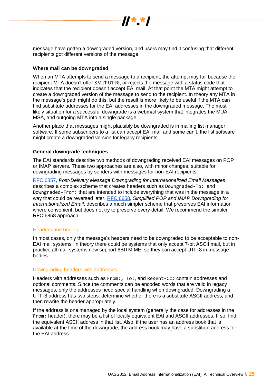

message have gotten a downgraded version, and users may find it confusing that different recipients got different versions of the message.

#### <span id="page-24-0"></span>**Where mail can be downgraded**

When an MTA attempts to send a message to a recipient, the attempt may fail because the recipient MTA doesn't offer SMTPUTF8, or rejects the message with a status code that indicates that the recipient doesn't accept EAI mail. At that point the MTA might attempt to create a downgraded version of the message to send to the recipient. In theory any MTA in the message's path might do this, but the result is more likely to be useful if the MTA can find substitute addresses for the EAI addresses in the downgraded message. The most likely situation for a successful downgrade is a webmail system that integrates the MUA, MSA, and outgoing MTA into a single package.

Another place that messages might plausibly be downgraded is in mailing list manager software. If some subscribers to a list can accept EAI mail and some can't, the list software might create a downgraded version for legacy recipients.

#### <span id="page-24-1"></span>**General downgrade techniques**

The EAI standards describe two methods of downgrading received EAI messages on POP or IMAP servers. These two approaches are also, with minor changes, suitable for downgrading messages by senders with messages for non-EAI recipients.

[RFC 6857,](https://tools.ietf.org/html/rfc6857) *Post-Delivery Message Downgrading for Internationalized Email Messages*, describes a complex scheme that creates headers such as Downgraded-To: and Downgraded-From: that are intended to include everything that was in the message in a way that could be reversed later. [RFC 6858,](https://datatracker.ietf.org/doc/rfc6858/) *Simplified POP and IMAP Downgrading for Internationalized Email*, describes a much simpler scheme that preserves EAI information where convenient, but does not try to preserve every detail. We recommend the simpler RFC 6858 approach.

#### <span id="page-24-2"></span>Headers and bodies

In most cases, only the message's headers need to be downgraded to be acceptable to non-EAI mail systems. In theory there could be systems that only accept 7-bit ASCII mail, but in practice all mail systems now support 8BITMIME, so they can accept UTF-8 in message bodies.

#### <span id="page-24-3"></span>Downgrading headers with addresses

Headers with addresses such as From:, To:, and Resent-Cc: contain addresses and optional comments. Since the comments can be encoded words that are valid in legacy messages, only the addresses need special handling when downgraded. Downgrading a UTF-8 address has two steps: determine whether there is a substitute ASCII address, and then rewrite the header appropriately.

If the address is one managed by the local system (generally the case for addresses in the From: header), there may be a list of locally equivalent EAI and ASCII addresses. If so, find the equivalent ASCII address in that list. Also, if the user has an address book that is available at the time of the downgrade, the address book may have a substitute address for the EAI address.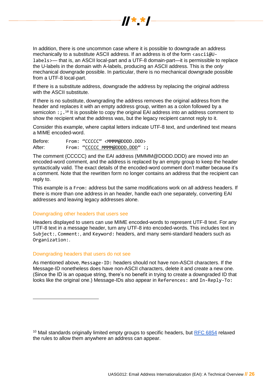

In addition, there is one uncommon case where it is possible to downgrade an address mechanically to a substitute ASCII address. If an address is of the form  $\langle$  ascii@Ulabels>— that is, an ASCII local-part and a UTF-8 domain-part—it is permissible to replace the U-labels in the domain with A-labels, producing an ASCII address. This is the *only* mechanical downgrade possible. In particular, there is no mechanical downgrade possible from a UTF-8 local-part.

If there is a substitute address, downgrade the address by replacing the original address with the ASCII substitute.

If there is no substitute, downgrading the address removes the original address from the header and replaces it with an empty address group, written as a colon followed by a semicolon : ; .<sup>10</sup> It is possible to copy the original EAI address into an address comment to show the recipient what the address was, but the legacy recipient cannot reply to it.

Consider this example, where capital letters indicate UTF-8 text, and underlined text means a MIME encoded-word.

Before: From: "CCCCC" <MMMM@DDDD.DDD> After: From: "CCCCC MMMM@DDDD.DDD" :;

The comment (CCCCC) and the EAI address (MMMM@DDDD.DDD) are moved into an encoded-word comment, and the address is replaced by an empty group to keep the header syntactically valid. The exact details of the encoded-word comment don't matter because it's a comment. Note that the rewritten form no longer contains an address that the recipient can reply to.

This example is a From: address but the same modifications work on all address headers. If there is more than one address in an header, handle each one separately, converting EAI addresses and leaving legacy addresses alone.

#### <span id="page-25-0"></span>Downgrading other headers that users see

Headers displayed to users can use MIME encoded-words to represent UTF-8 text. For any UTF-8 text in a message header, turn any UTF-8 into encoded-words. This includes text in Subject:, Comment:, and Keyword: headers, and many semi-standard headers such as Organization:.

#### <span id="page-25-1"></span>Downgrading headers that users do not see

 $\overline{a}$ 

As mentioned above, Message-ID: headers should not have non-ASCII characters. If the Message-ID nonetheless does have non-ASCII characters, delete it and create a new one. (Since the ID is an opaque string, there's no benefit in trying to create a downgraded ID that looks like the original one.) Message-IDs also appear in References: and In-Reply-To:

<sup>&</sup>lt;sup>10</sup> Mail standards originally limited empty groups to specific headers, but [RFC 6854](https://www.rfc-editor.org/info/rfc6854) relaxed the rules to allow them anywhere an address can appear.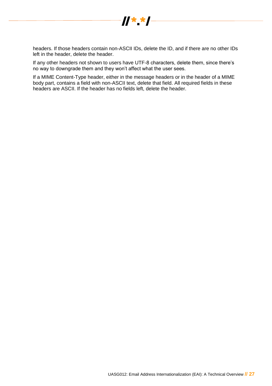

headers. If those headers contain non-ASCII IDs, delete the ID, and if there are no other IDs left in the header, delete the header.

If any other headers not shown to users have UTF-8 characters, delete them, since there's no way to downgrade them and they won't affect what the user sees.

<span id="page-26-0"></span>If a MIME Content-Type header, either in the message headers or in the header of a MIME body part, contains a field with non-ASCII text, delete that field. All required fields in these headers are ASCII. If the header has no fields left, delete the header.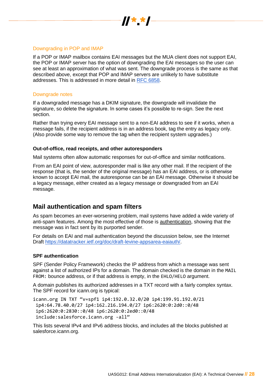

## Downgrading in POP and IMAP

If a POP or IMAP mailbox contains EAI messages but the MUA client does not support EAI, the POP or IMAP server has the option of downgrading the EAI messages so the user can see at least an approximation of what was sent. The downgrade process is the same as that described above, except that POP and IMAP servers are unlikely to have substitute addresses. This is addressed in more detail in [RFC 6858.](https://tools.ietf.org/html/rfc6858)

## <span id="page-27-0"></span>Downgrade notes

If a downgraded message has a DKIM signature, the downgrade will invalidate the signature, so delete the signature. In some cases it's possible to re-sign. See the next section.

Rather than trying every EAI message sent to a non-EAI address to see if it works, when a message fails, if the recipient address is in an address book, tag the entry as legacy only. (Also provide some way to remove the tag when the recipient system upgrades.)

#### <span id="page-27-1"></span>**Out-of-office, read receipts, and other autoresponders**

Mail systems often allow automatic responses for out-of-office and similar notifications.

From an EAI point of view, autoresponder mail is like any other mail. If the recipient of the response (that is, the sender of the original message) has an EAI address, or is otherwise known to accept EAI mail, the autoresponse can be an EAI message. Otherwise it should be a legacy message, either created as a legacy message or downgraded from an EAI message.

# <span id="page-27-2"></span>**Mail authentication and spam filters**

As spam becomes an ever-worsening problem, mail systems have added a wide variety of anti-spam features. Among the most effective of those is authentication, showing that the message was in fact sent by its purported sender.

For details on EAI and mail authentication beyond the discussion below, see the Internet Draft [https://datatracker.ietf.org/doc/draft-levine-appsarea-eaiauth/.](https://datatracker.ietf.org/doc/draft-levine-appsarea-eaiauth/)

#### <span id="page-27-3"></span>**SPF authentication**

SPF (Sender Policy Framework) checks the IP address from which a message was sent against a list of authorized IPs for a domain. The domain checked is the domain in the MAIL FROM: bounce address, or if that address is empty, in the EHLO/HELO argument.

A domain publishes its authorized addresses in a TXT record with a fairly complex syntax. The SPF record for icann.org is typical:

icann.org IN TXT "v=spf1 ip4:192.0.32.0/20 ip4:199.91.192.0/21 ip4:64.78.40.0/27 ip4:162.216.194.0/27 ip6:2620:0:2d0::0/48 ip6:2620:0:2830::0/48 ip6:2620:0:2ed0::0/48 include:salesforce.icann.org -all"

This lists several IPv4 and IPv6 address blocks, and includes all the blocks published at salesforce.icann.org.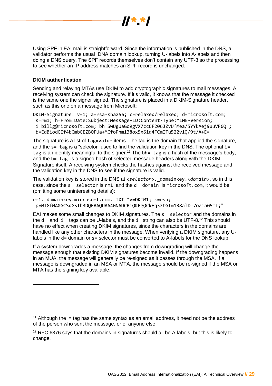

Using SPF in EAI mail is straightforward. Since the information is published in the DNS, a validator performs the usual IDNA domain lookup, turning U-labels into A-labels and then doing a DNS query. The SPF records themselves don't contain any UTF-8 so the processing to see whether an IP address matches an SPF record is unchanged.

## <span id="page-28-0"></span>**DKIM authentication**

Sending and relaying MTAs use DKIM to add cryptographic signatures to mail messages. A receiving system can check the signature. If it's valid, it knows that the message it checked is the same one the signer signed. The signature is placed in a DKIM-Signature header, such as this one on a message from Microsoft:

DKIM-Signature: v=1; a=rsa-sha256; c=relaxed/relaxed; d=microsoft.com; s=rm1; h=From:Date:Subject:Message-ID:Content-Type:MIME-Version; i=billg@microsoft.com; bh=SwUgUaGo9gVX7cc6F206JZvUfMea/5YYkAej9uuVF6Q=; b=EdBiodGIf4bCmbGEZBQFUa+MCfoPhm138ox5x6iq4FCmITu522v1Q/9t/A+E=

The signature is a list of tag=value items. The tag is the domain that applied the signature, and the  $s=$  tag is a "selector" used to find the validation key in the DNS. The optional  $i=$ tag is an identity meaningful to the signer.<sup>11</sup> The  $bh = tag$  is a hash of the message's body, and the b= tag is a signed hash of selected message headers along with the DKIM-Signature itself. A receiving system checks the hashes against the received message and the validation key in the DNS to see if the signature is valid.

The validation key is stored in the DNS at <*selector*>.\_domainkey.<*domain*>, so in this case, since the s= selector is rm1 and the d= domain is microsoft.com, it would be (omitting some uninteresting details):

rm1. domainkey.microsoft.com. TXT "v=DKIM1; k=rsa; p=MIGfMA0GCSqGSIb3DQEBAQUAA4GNADCBiQKBgQCkHq3ztGIm1R8alD+7oZiaG5mT;"

EAI makes some small changes to DKIM signatures. The s= selector and the domains in the  $d=$  and  $i=$  tags can be U-labels, and the  $i=$  string can also be UTF-8.<sup>12</sup> This should have no effect when creating DKIM signatures, since the characters in the domains are handled like any other characters in the message. When verifying a DKIM signature, any Ulabels in the d= domain or s= selector must be converted to A-labels for the DNS lookup.

If a system downgrades a message, the changes from downgrading will change the message enough that existing DKIM signatures become invalid. If the downgrading happens in an MUA, the message will generally be re-signed as it passes through the MSA. If a message is downgraded in an MSA or MTA, the message should be re-signed if the MSA or MTA has the signing key available.

<sup>11</sup> Although the  $i$ = tag has the same syntax as an email address, it need not be the address of the person who sent the message, or of anyone else.

 $12$  RFC 6376 says that the domains in signatures should all be A-labels, but this is likely to change.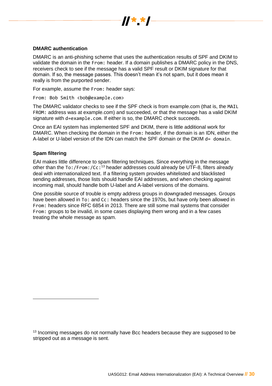

## <span id="page-29-0"></span>**DMARC authentication**

DMARC is an anti-phishing scheme that uses the authentication results of SPF and DKIM to validate the domain in the From: header. If a domain publishes a DMARC policy in the DNS, receivers check to see if the message has a valid SPF result or DKIM signature for that domain. If so, the message passes. This doesn't mean it's not spam, but it does mean it really is from the purported sender.

For example, assume the From: header says:

From: Bob Smith <bob@example.com>

The DMARC validator checks to see if the SPF check is from example.com (that is, the MAIL FROM: address was at example.com) and succeeded, or that the message has a valid DKIM signature with d=example.com. If either is so, the DMARC check succeeds.

<span id="page-29-1"></span>Once an EAI system has implemented SPF and DKIM, there is little additional work for DMARC. When checking the domain in the From: header, if the domain is an IDN, either the A-label or U-label version of the IDN can match the SPF domain or the DKIM  $d=$  domain.

#### **Spam filtering**

 $\overline{a}$ 

EAI makes little difference to spam filtering techniques. Since everything in the message other than the To:/From:/Cc:<sup>13</sup> header addresses could already be UTF-8, filters already deal with internationalized text. If a filtering system provides whitelisted and blacklisted sending addresses, those lists should handle EAI addresses, and when checking against incoming mail, should handle both U-label and A-label versions of the domains.

<span id="page-29-2"></span>One possible source of trouble is empty address groups in downgraded messages. Groups have been allowed in To: and Cc: headers since the 1970s, but have only been allowed in From: headers since RFC 6854 in 2013. There are still some mail systems that consider From: groups to be invalid, in some cases displaying them wrong and in a few cases treating the whole message as spam.

<sup>&</sup>lt;sup>13</sup> Incoming messages do not normally have Bcc headers because they are supposed to be stripped out as a message is sent.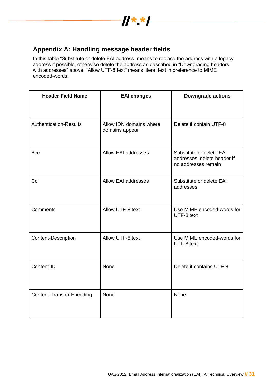

# **Appendix A: Handling message header fields**

In this table "Substitute or delete EAI address" means to replace the address with a legacy address if possible, otherwise delete the address as described in "Downgrading headers with addresses" above. "Allow UTF-8 text" means literal text in preference to MIME encoded-words.

| <b>Header Field Name</b>      | <b>EAI changes</b>                        | <b>Downgrade actions</b>                                                       |
|-------------------------------|-------------------------------------------|--------------------------------------------------------------------------------|
|                               |                                           |                                                                                |
| <b>Authentication-Results</b> | Allow IDN domains where<br>domains appear | Delete if contain UTF-8                                                        |
| <b>Bcc</b>                    | <b>Allow EAI addresses</b>                | Substitute or delete EAI<br>addresses, delete header if<br>no addresses remain |
| C <sub>c</sub>                | <b>Allow EAI addresses</b>                | Substitute or delete EAI<br>addresses                                          |
| Comments                      | Allow UTF-8 text                          | Use MIME encoded-words for<br>UTF-8 text                                       |
| <b>Content-Description</b>    | Allow UTF-8 text                          | Use MIME encoded-words for<br>UTF-8 text                                       |
| Content-ID                    | None                                      | Delete if contains UTF-8                                                       |
| Content-Transfer-Encoding     | None                                      | None                                                                           |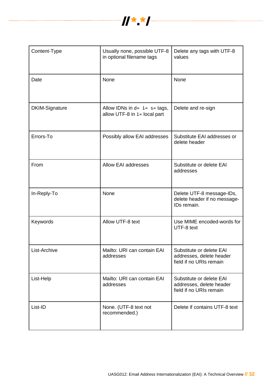

| Content-Type          | Usually none, possible UTF-8<br>in optional filename tags          | Delete any tags with UTF-8<br>values                                            |
|-----------------------|--------------------------------------------------------------------|---------------------------------------------------------------------------------|
| Date                  | None                                                               | None                                                                            |
| <b>DKIM-Signature</b> | Allow IDNs in $d = i = s = tags$ ,<br>allow UTF-8 in i= local part | Delete and re-sign                                                              |
| Errors-To             | Possibly allow EAI addresses                                       | Substitute EAI addresses or<br>delete header                                    |
| From                  | Allow EAI addresses                                                | Substitute or delete EAI<br>addresses                                           |
| In-Reply-To           | None                                                               | Delete UTF-8 message-IDs,<br>delete header if no message-<br>IDs remain.        |
| Keywords              | Allow UTF-8 text                                                   | Use MIME encoded-words for<br>UTF-8 text                                        |
| List-Archive          | Mailto: URI can contain EAI<br>addresses                           | Substitute or delete EAI<br>addresses, delete header<br>field if no URIs remain |
| List-Help             | Mailto: URI can contain EAI<br>addresses                           | Substitute or delete EAI<br>addresses, delete header<br>field if no URIs remain |
| List-ID               | None. (UTF-8 text not<br>recommended.)                             | Delete if contains UTF-8 text                                                   |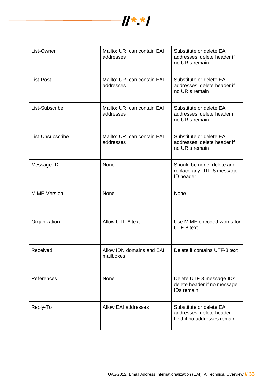

| List-Owner       | Mailto: URI can contain EAI<br>addresses | Substitute or delete EAI<br>addresses, delete header if<br>no URIs remain            |
|------------------|------------------------------------------|--------------------------------------------------------------------------------------|
| List-Post        | Mailto: URI can contain EAI<br>addresses | Substitute or delete EAI<br>addresses, delete header if<br>no URIs remain            |
| List-Subscribe   | Mailto: URI can contain EAI<br>addresses | Substitute or delete EAI<br>addresses, delete header if<br>no URIs remain            |
| List-Unsubscribe | Mailto: URI can contain EAI<br>addresses | Substitute or delete EAI<br>addresses, delete header if<br>no URIs remain            |
| Message-ID       | None                                     | Should be none, delete and<br>replace any UTF-8 message-<br>ID header                |
| MIME-Version     | None                                     | None                                                                                 |
| Organization     | Allow UTF-8 text                         | Use MIME encoded-words for<br>UTF-8 text                                             |
| Received         | Allow IDN domains and EAI<br>mailboxes   | Delete if contains UTF-8 text                                                        |
| References       | None                                     | Delete UTF-8 message-IDs,<br>delete header if no message-<br>IDs remain.             |
| Reply-To         | <b>Allow EAI addresses</b>               | Substitute or delete EAI<br>addresses, delete header<br>field if no addresses remain |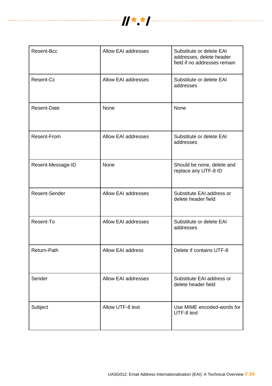

| Resent-Bcc         | <b>Allow EAI addresses</b> | Substitute or delete EAI<br>addresses, delete header<br>field if no addresses remain |
|--------------------|----------------------------|--------------------------------------------------------------------------------------|
| Resent-Cc          | <b>Allow EAI addresses</b> | Substitute or delete EAI<br>addresses                                                |
| <b>Resent-Date</b> | None                       | None                                                                                 |
| <b>Resent-From</b> | <b>Allow EAI addresses</b> | Substitute or delete EAI<br>addresses                                                |
| Resent-Message-ID  | None                       | Should be none, delete and<br>replace any UTF-8 ID                                   |
| Resent-Sender      | <b>Allow EAI addresses</b> | Substitute EAI address or<br>delete header field                                     |
| Resent-To          | <b>Allow EAI addresses</b> | Substitute or delete EAI<br>addresses                                                |
| Return-Path        | Allow EAI address          | Delete if contains UTF-8                                                             |
| Sender             | Allow EAI addresses        | Substitute EAI address or<br>delete header field                                     |
| Subject            | Allow UTF-8 text           | Use MIME encoded-words for<br>UTF-8 text                                             |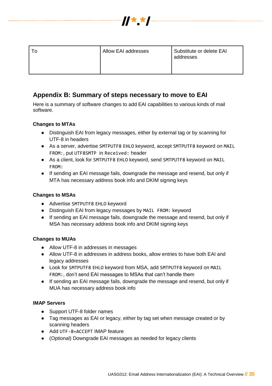

| Allow EAI addresses | Substitute or delete EAI<br>addresses |
|---------------------|---------------------------------------|
|                     |                                       |

# <span id="page-34-0"></span>**Appendix B: Summary of steps necessary to move to EAI**

Here is a summary of software changes to add EAI capabilities to various kinds of mail software.

# <span id="page-34-1"></span>**Changes to MTAs**

- Distinguish EAI from legacy messages, either by external tag or by scanning for UTF-8 in headers
- As a server, advertise SMTPUTF8 EHLO keyword, accept SMTPUTF8 keyword on MAIL FROM:, put UTF8SMTP in Received: header
- As a client, look for SMTPUTF8 EHLO keyword, send SMTPUTF8 keyword on MAIL FROM:
- If sending an EAI message fails, downgrade the message and resend, but only if MTA has necessary address book info and DKIM signing keys

# <span id="page-34-2"></span>**Changes to MSAs**

- Advertise SMTPUTF8 EHLO keyword
- Distinguish EAI from legacy messages by MAIL FROM: keyword
- If sending an EAI message fails, downgrade the message and resend, but only if MSA has necessary address book info and DKIM signing keys

## <span id="page-34-3"></span>**Changes to MUAs**

- Allow UTF-8 in addresses in messages
- Allow UTF-8 in addresses in address books, allow entries to have both EAI and legacy addresses
- Look for SMTPUTF8 EHLO keyword from MSA, add SMTPUTF8 keyword on MAIL FROM:, don't send EAI messages to MSAs that can't handle them
- If sending an EAI message fails, downgrade the message and resend, but only if MUA has necessary address book info

## <span id="page-34-4"></span>**IMAP Servers**

- Support UTF-8 folder names
- Tag messages as EAI or legacy, either by tag set when message created or by scanning headers
- Add UTF-8=ACCEPT IMAP feature
- (Optional) Downgrade EAI messages as needed for legacy clients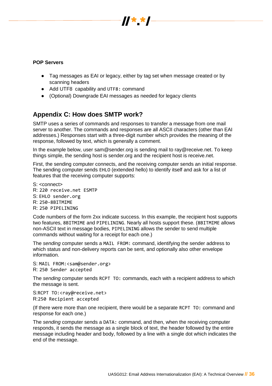

## <span id="page-35-0"></span>**POP Servers**

- Tag messages as EAI or legacy, either by tag set when message created or by scanning headers
- Add UTF8 capability and UTF8: command
- (Optional) Downgrade EAI messages as needed for legacy clients

# <span id="page-35-1"></span>**Appendix C: How does SMTP work?**

SMTP uses a series of commands and responses to transfer a message from one mail server to another. The commands and responses are all ASCII characters (other than EAI addresses.) Responses start with a three-digit number which provides the meaning of the response, followed by text, which is generally a comment.

In the example below, user sam@sender.org is sending mail to ray@receive.net. To keep things simple, the sending host is sender.org and the recipient host is receive.net.

First, the sending computer connects, and the receiving computer sends an initial response. The sending computer sends EHLO (extended hello) to identify itself and ask for a list of features that the receiving computer supports:

S: <connect>

- R: 220 receive.net ESMTP
- S: EHLO sender.org
- R: 250-8BITMIME
- R: 250 PIPELINING

Code numbers of the form 2xx indicate success. In this example, the recipient host supports two features, 8BITMIME and PIPELINING. Nearly all hosts support these. (8BITMIME allows non-ASCII text in message bodies, PIPELINING allows the sender to send multiple commands without waiting for a receipt for each one.)

The *sending* computer sends a MAIL FROM: command, identifying the sender address to which status and non-delivery reports can be sent, and optionally also other envelope information.

S: MAIL FROM: <sam@sender.org> R: 250 Sender accepted

The *sending* computer sends RCPT TO: commands, each with a recipient address to which the message is sent.

S:RCPT TO:<ray@receive.net> R:250 Recipient accepted

(If there were more than one recipient, there would be a separate RCPT TO: command and response for each one.)

The *sending* computer sends a DATA: command, and then, when the receiving computer responds, it sends the message as a single block of text, the header followed by the entire message including header and body, followed by a line with a single dot which indicates the end of the message.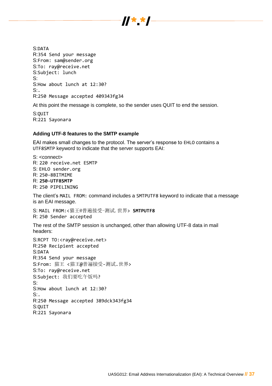

S:DATA R:354 Send your message S:From: sam@sender.org S:To: ray@receive.net S:Subject: lunch S: S:How about lunch at 12:30?  $S$ : R:250 Message accepted 409343fg34

At this point the message is complete, so the sender uses QUIT to end the session.

S:QUIT R:221 Sayonara

#### <span id="page-36-0"></span>**Adding UTF-8 features to the SMTP example**

EAI makes small changes to the protocol. The server's response to EHLO contains a UTF8SMTP keyword to indicate that the server supports EAI:

S: <connect> R: 220 receive.net ESMTP S: EHLO sender.org R: 250-8BITMIME R: **250-UTF8SMTP** R: 250 PIPELINING

The client's MAIL FROM: command includes a SMTPUTF8 keyword to indicate that a message is an EAI message.

S: MAIL FROM:<猫王@普遍接受-测试.世界> **SMTPUTF8** R: 250 Sender accepted

The rest of the SMTP session is unchanged, other than allowing UTF-8 data in mail headers:

<span id="page-36-1"></span>S:RCPT TO:<ray@receive.net> R:250 Recipient accepted S:DATA R:354 Send your message S:From: 猫王 <猫王@普遍接受-测试.世界> S:To: ray@receive.net S:Subject: 我们要吃午饭吗? S: S:How about lunch at 12:30?  $S$ : R:250 Message accepted 389dck343fg34 S:QUIT R:221 Sayonara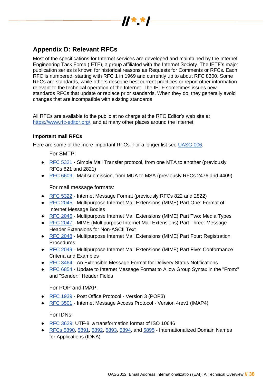

# **Appendix D: Relevant RFCs**

Most of the specifications for Internet services are developed and maintained by the Internet Engineering Task Force (IETF), a group affiliated with the Internet Society. The IETF's major publication series is known for historical reasons as Requests for Comments or RFCs. Each RFC is numbered, starting with RFC 1 in 1969 and currently up to about RFC 8300. Some RFCs are standards, while others describe best current practices or report other information relevant to the technical operation of the Internet. The IETF sometimes issues new standards RFCs that update or replace prior standards. When they do, they generally avoid changes that are incompatible with existing standards.

All RFCs are available to the public at no charge at the RFC Editor's web site at [https://www.rfc-editor.org/,](https://www.rfc-editor.org/) and at many other places around the Internet.

# <span id="page-37-0"></span>**Important mail RFCs**

<span id="page-37-1"></span>Here are some of the more important RFCs. For a longer list see [UASG 006,](https://uasg.tech/wp-content/uploads/2017/06/UA006-Relevant-RFCs.pdf)

For SMTP:

- [RFC 5321](https://www.rfc-editor.org/info/rfc5321) Simple Mail Transfer protocol, from one MTA to another (previously RFCs 821 and 2821)
- [RFC 6609 -](https://www.rfc-editor.org/info/rfc6609) Mail submission, from MUA to MSA (previously RFCs 2476 and 4409)

For mail message formats:

- <span id="page-37-2"></span>● [RFC 5322](https://www.rfc-editor.org/info/rfc5322) - Internet Message Format (previously RFCs 822 and 2822)
- [RFC 2045](https://www.rfc-editor.org/info/rfc2045) Multipurpose Internet Mail Extensions (MIME) Part One: Format of Internet Message Bodies
- [RFC 2046](https://www.rfc-editor.org/info/rfc2046) Multipurpose Internet Mail Extensions (MIME) Part Two: Media Types
- [RFC 2047](https://www.rfc-editor.org/info/rfc2047) MIME (Multipurpose Internet Mail Extensions) Part Three: Message Header Extensions for Non-ASCII Text
- [RFC 2048](https://www.rfc-editor.org/info/rfc2048) Multipurpose Internet Mail Extensions (MIME) Part Four: Registration **Procedures**
- [RFC 2049](https://www.rfc-editor.org/info/rfc2049) Multipurpose Internet Mail Extensions (MIME) Part Five: Conformance Criteria and Examples
- [RFC 3464](https://www.rfc-editor.org/info/rfc3464) An Extensible Message Format for Delivery Status Notifications
- [RFC 6854](https://www.rfc-editor.org/info/rfc6854) Update to Internet Message Format to Allow Group Syntax in the "From:" and "Sender:" Header Fields

For POP and IMAP:

- <span id="page-37-3"></span>● [RFC 1939](https://www.rfc-editor.org/info/rfc1939) - Post Office Protocol - Version 3 (POP3)
- [RFC 3501](https://www.rfc-editor.org/info/rfc3501) Internet Message Access Protocol Version 4rev1 (IMAP4)

For IDNs:

- <span id="page-37-4"></span>● [RFC 3629:](https://www.rfc-editor.org/info/rfc3629) UTF-8, a transformation format of ISO 10646
- [RFCs 5890,](https://www.rfc-editor.org/info/rfc5890) [5891,](https://www.rfc-editor.org/info/rfc5891) [5892,](https://www.rfc-editor.org/info/rfc5892) [5893,](https://www.rfc-editor.org/info/rfc5893) [5894,](https://www.rfc-editor.org/info/rfc5894) and [5895](https://www.rfc-editor.org/info/rfc5895) Internationalized Domain Names for Applications (IDNA)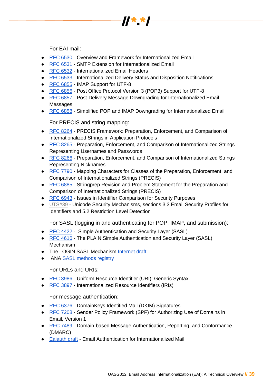

For EAI mail:

- <span id="page-38-0"></span>● [RFC 6530](https://www.rfc-editor.org/info/rfc6530) - Overview and Framework for Internationalized Email
- [RFC 6531](https://www.rfc-editor.org/info/rfc6531) SMTP Extension for Internationalized Email
- [RFC 6532](https://www.rfc-editor.org/info/rfc6532) Internationalized Email Headers
- [RFC 6533](https://www.rfc-editor.org/info/rfc6533) Internationalized Delivery Status and Disposition Notifications
- [RFC 6855](https://www.rfc-editor.org/info/rfc6855) IMAP Support for UTF-8
- [RFC 6856](https://www.rfc-editor.org/info/rfc6856) Post Office Protocol Version 3 (POP3) Support for UTF-8
- [RFC 6857](https://www.rfc-editor.org/info/rfc6857) Post-Delivery Message Downgrading for Internationalized Email Messages
- [RFC 6858](https://www.rfc-editor.org/info/rfc6858) Simplified POP and IMAP Downgrading for Internationalized Email

For PRECIS and string mapping:

- <span id="page-38-1"></span>● [RFC 8264](https://www.rfc-editor.org/info/rfc8264) - PRECIS Framework: Preparation, Enforcement, and Comparison of Internationalized Strings in Application Protocols
- [RFC 8265](https://www.rfc-editor.org/info/rfc8265) Preparation, Enforcement, and Comparison of Internationalized Strings Representing Usernames and Passwords
- [RFC 8266](https://www.rfc-editor.org/info/rfc8266) Preparation, Enforcement, and Comparison of Internationalized Strings Representing Nicknames
- [RFC 7790](https://www.rfc-editor.org/info/rfc7790) Mapping Characters for Classes of the Preparation, Enforcement, and Comparison of Internationalized Strings (PRECIS)
- [RFC 6885](https://www.rfc-editor.org/info/rfc6885) Stringprep Revision and Problem Statement for the Preparation and Comparison of Internationalized Strings (PRECIS)
- [RFC 6943](https://www.rfc-editor.org/info/rfc6943) Issues in Identifier Comparison for Security Purposes
- [UTS#39](http://unicode.org/reports/tr39/) Unicode Security Mechanisms, sections 3.3 Email Security Profiles for Identifiers and 5.2 Restriction Level Detection

For SASL (logging in and authenticating for POP, IMAP, and submission):

- <span id="page-38-2"></span>● [RFC 4422](https://www.rfc-editor.org/info/rfc4422) - Simple Authentication and Security Layer (SASL)
- [RFC 4616](https://www.rfc-editor.org/info/rfc4616) The PLAIN Simple Authentication and Security Layer (SASL) **Mechanism**
- The LOGIN SASL Mechanism [Internet draft](https://datatracker.ietf.org/doc/draft-murchison-sasl-login/)
- IANA [SASL methods registry](https://www.iana.org/assignments/sasl-mechanisms/sasl-mechanisms.xhtml#sasl-mechanisms-1)

For URLs and URIs:

- <span id="page-38-3"></span>● [RFC 3986](https://tools.ietf.org/html/rfc3986) - Uniform Resource Identifier (URI): Generic Syntax.
- [RFC 3897](https://tools.ietf.org/html/rfc3897) Internationalized Resource Identifiers (IRIs)

For message authentication:

- <span id="page-38-4"></span>● [RFC 6376](https://www.rfc-editor.org/info/rfc6376) - DomainKeys Identified Mail (DKIM) Signatures
- [RFC 7208](https://www.rfc-editor.org/info/rfc7208) Sender Policy Framework (SPF) for Authorizing Use of Domains in Email, Version 1
- [RFC 7489](https://tools.ietf.org/html/rfc7489) Domain-based Message Authentication, Reporting, and Conformance (DMARC)
- [Eaiauth draft](https://datatracker.ietf.org/doc/draft-levine-appsarea-eaiauth/) Email Authentication for Internationalized Mail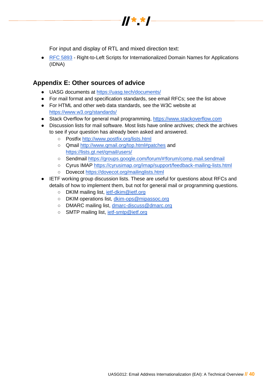

For input and display of RTL and mixed direction text:

<span id="page-39-0"></span>● [RFC 5893](https://www.rfc-editor.org/info/rfc5893) - Right-to-Left Scripts for Internationalized Domain Names for Applications (IDNA)

# <span id="page-39-1"></span>**Appendix E: Other sources of advice**

- UASG documents at<https://uasg.tech/documents/>
- For mail format and specification standards, see email RFCs; see the list above
- For HTML and other web data standards, see the W3C website at <https://www.w3.org/standards/>
- Stack Overflow for general mail programming, [https://www.stackoverflow.com](https://www.stackoverflow.com/)
- Discussion lists for mail software. Most lists have online archives; check the archives to see if your question has already been asked and answered.
	- Postfix<http://www.postfix.org/lists.html>
	- Qmail<http://www.qmail.org/top.html#patches> and <https://lists.gt.net/qmail/users/>
	- Sendmail<https://groups.google.com/forum/#!forum/comp.mail.sendmail>
	- Cyrus IMAP<https://cyrusimap.org/imap/support/feedback-mailing-lists.html>
	- Dovecot<https://dovecot.org/mailinglists.html>
- <span id="page-39-2"></span>● IETF working group discussion lists. These are useful for questions about RFCs and details of how to implement them, but not for general mail or programming questions.
	- DKIM mailing list, jetf-dkim@ietf.org
	- DKIM operations list, [dkim-ops@mipassoc.org](mailto:dkim-ops@mipassoc.org)
	- DMARC mailing list, [dmarc-discuss@dmarc.org](mailto:dmarc-discuss@dmarc.org)
	- SMTP mailing list, jetf-smtp@ietf.org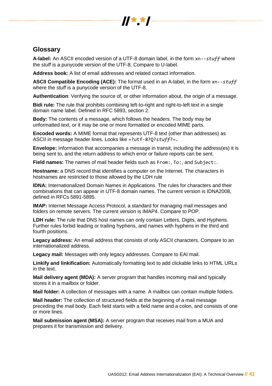

# **Glossary**

**A-label:** An ASCII encoded version of a UTF-8 domain label, in the form xn--*stuff* where the *stuff* is a punycode version of the UTF-8. Compare to U-label.

**Address book:** A list of email addresses and related contact information.

**ASCII Compatible Encoding (ACE):** The format used in an A-label, in the form xn--*stuff* where the *stuff* is a punycode version of the UTF-8.

**Authentication**: Verifying the source of, or other information about, the origin of a message.

**Bidi rule:** The rule that prohibits combining left-to-right and right-to-left text in a single domain name label. Defined in RFC 5893, section 2.

**Body:** The contents of a message, which follows the headers. The body may be unformatted text, or it may be one or more formatted or encoded MIME parts.

**Encoded words:** A MIME format that represents UTF-8 text (other than addresses) as ASCII in message header lines. Looks like =?utf-8?Q?*stuff*?=.

**Envelope:** Information that accompanies a message in transit, including the address(es) it is being sent to, and the return address to which error or failure reports can be sent.

**Field names:** The names of mail header fields such as From:, To:, and Subject:.

**Hostname:** a DNS record that identifies a computer on the Internet. The characters in hostnames are restricted to those allowed by the LDH rule

**IDNA:** Internationalized Domain Names in Applications. The rules for characters and their combinations that can appear in UTF-8 domain names. The current version is IDNA2008, defined in RFCs 5891-5895.

**IMAP:** Internet Message Access Protocol, a standard for managing mail messages and folders on remote servers. The current version is IMAP4. Compare to POP.

**LDH rule:** The rule that DNS host names can only contain Letters, Digits, and Hyphens. Further rules forbid leading or trailing hyphens, and names with hyphens in the third and fourth positions.

**Legacy address:** An email address that consists of only ASCII characters. Compare to an internationalized address.

**Legacy mail:** Messages with only legacy addresses. Compare to EAI mail.

**Linkify and linkification:** Automatically formatting text to add clickable links to HTML URLs in the text.

**Mail delivery agent (MDA):** A server program that handles incoming mail and typically stores it in a mailbox or folder.

**Mail folder:** A collection of messages with a name. A mailbox can contain multiple folders.

**Mail header:** The collection of structured fields at the beginning of a mail message preceding the mail body. Each field starts with a field name and a colon, and consists of one or more lines.

**Mail submission agent (MSA):** A server program that receives mail from a MUA and prepares it for transmission and delivery.